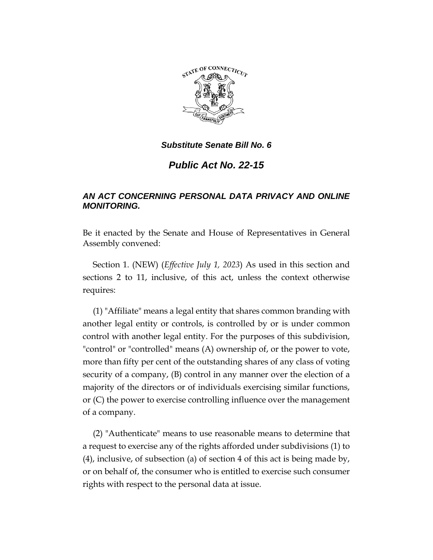

*Public Act No. 22-15*

# *AN ACT CONCERNING PERSONAL DATA PRIVACY AND ONLINE MONITORING.*

Be it enacted by the Senate and House of Representatives in General Assembly convened:

Section 1. (NEW) (*Effective July 1, 2023*) As used in this section and sections 2 to 11, inclusive, of this act, unless the context otherwise requires:

(1) "Affiliate" means a legal entity that shares common branding with another legal entity or controls, is controlled by or is under common control with another legal entity. For the purposes of this subdivision, "control" or "controlled" means (A) ownership of, or the power to vote, more than fifty per cent of the outstanding shares of any class of voting security of a company, (B) control in any manner over the election of a majority of the directors or of individuals exercising similar functions, or (C) the power to exercise controlling influence over the management of a company.

(2) "Authenticate" means to use reasonable means to determine that a request to exercise any of the rights afforded under subdivisions (1) to (4), inclusive, of subsection (a) of section 4 of this act is being made by, or on behalf of, the consumer who is entitled to exercise such consumer rights with respect to the personal data at issue.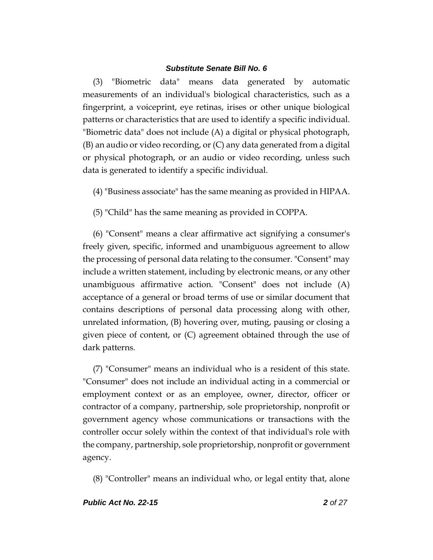(3) "Biometric data" means data generated by automatic measurements of an individual's biological characteristics, such as a fingerprint, a voiceprint, eye retinas, irises or other unique biological patterns or characteristics that are used to identify a specific individual. "Biometric data" does not include (A) a digital or physical photograph, (B) an audio or video recording, or (C) any data generated from a digital or physical photograph, or an audio or video recording, unless such data is generated to identify a specific individual.

(4) "Business associate" has the same meaning as provided in HIPAA.

(5) "Child" has the same meaning as provided in COPPA.

(6) "Consent" means a clear affirmative act signifying a consumer's freely given, specific, informed and unambiguous agreement to allow the processing of personal data relating to the consumer. "Consent" may include a written statement, including by electronic means, or any other unambiguous affirmative action. "Consent" does not include (A) acceptance of a general or broad terms of use or similar document that contains descriptions of personal data processing along with other, unrelated information, (B) hovering over, muting, pausing or closing a given piece of content, or (C) agreement obtained through the use of dark patterns.

(7) "Consumer" means an individual who is a resident of this state. "Consumer" does not include an individual acting in a commercial or employment context or as an employee, owner, director, officer or contractor of a company, partnership, sole proprietorship, nonprofit or government agency whose communications or transactions with the controller occur solely within the context of that individual's role with the company, partnership, sole proprietorship, nonprofit or government agency.

(8) "Controller" means an individual who, or legal entity that, alone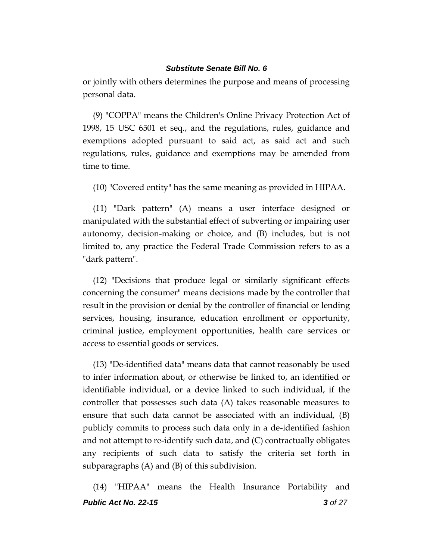or jointly with others determines the purpose and means of processing personal data.

(9) "COPPA" means the Children's Online Privacy Protection Act of 1998, 15 USC 6501 et seq., and the regulations, rules, guidance and exemptions adopted pursuant to said act, as said act and such regulations, rules, guidance and exemptions may be amended from time to time.

(10) "Covered entity" has the same meaning as provided in HIPAA.

(11) "Dark pattern" (A) means a user interface designed or manipulated with the substantial effect of subverting or impairing user autonomy, decision-making or choice, and (B) includes, but is not limited to, any practice the Federal Trade Commission refers to as a "dark pattern".

(12) "Decisions that produce legal or similarly significant effects concerning the consumer" means decisions made by the controller that result in the provision or denial by the controller of financial or lending services, housing, insurance, education enrollment or opportunity, criminal justice, employment opportunities, health care services or access to essential goods or services.

(13) "De-identified data" means data that cannot reasonably be used to infer information about, or otherwise be linked to, an identified or identifiable individual, or a device linked to such individual, if the controller that possesses such data (A) takes reasonable measures to ensure that such data cannot be associated with an individual, (B) publicly commits to process such data only in a de-identified fashion and not attempt to re-identify such data, and (C) contractually obligates any recipients of such data to satisfy the criteria set forth in subparagraphs (A) and (B) of this subdivision.

*Public Act No. 22-15 3 of 27* (14) "HIPAA" means the Health Insurance Portability and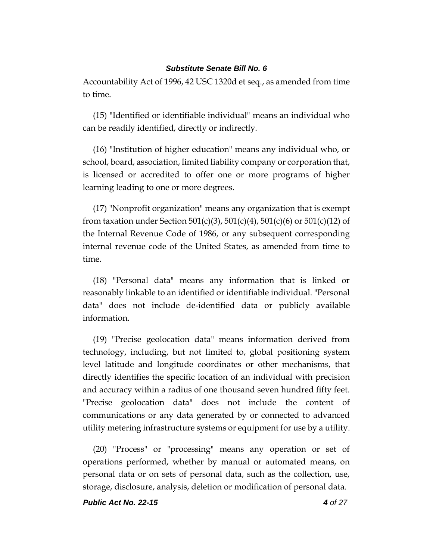Accountability Act of 1996, 42 USC 1320d et seq., as amended from time to time.

(15) "Identified or identifiable individual" means an individual who can be readily identified, directly or indirectly.

(16) "Institution of higher education" means any individual who, or school, board, association, limited liability company or corporation that, is licensed or accredited to offer one or more programs of higher learning leading to one or more degrees.

(17) "Nonprofit organization" means any organization that is exempt from taxation under Section 501(c)(3), 501(c)(4), 501(c)(6) or 501(c)(12) of the Internal Revenue Code of 1986, or any subsequent corresponding internal revenue code of the United States, as amended from time to time.

(18) "Personal data" means any information that is linked or reasonably linkable to an identified or identifiable individual. "Personal data" does not include de-identified data or publicly available information.

(19) "Precise geolocation data" means information derived from technology, including, but not limited to, global positioning system level latitude and longitude coordinates or other mechanisms, that directly identifies the specific location of an individual with precision and accuracy within a radius of one thousand seven hundred fifty feet. "Precise geolocation data" does not include the content of communications or any data generated by or connected to advanced utility metering infrastructure systems or equipment for use by a utility.

(20) "Process" or "processing" means any operation or set of operations performed, whether by manual or automated means, on personal data or on sets of personal data, such as the collection, use, storage, disclosure, analysis, deletion or modification of personal data.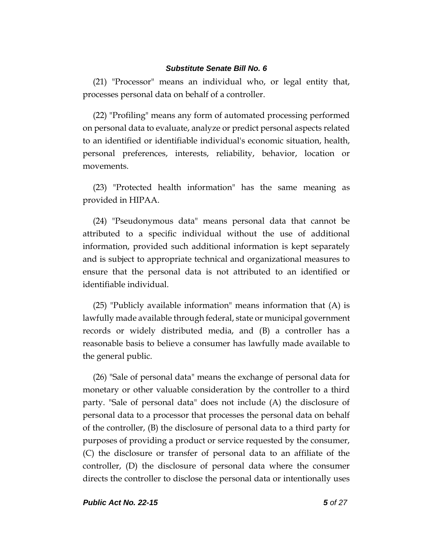(21) "Processor" means an individual who, or legal entity that, processes personal data on behalf of a controller.

(22) "Profiling" means any form of automated processing performed on personal data to evaluate, analyze or predict personal aspects related to an identified or identifiable individual's economic situation, health, personal preferences, interests, reliability, behavior, location or movements.

(23) "Protected health information" has the same meaning as provided in HIPAA.

(24) "Pseudonymous data" means personal data that cannot be attributed to a specific individual without the use of additional information, provided such additional information is kept separately and is subject to appropriate technical and organizational measures to ensure that the personal data is not attributed to an identified or identifiable individual.

(25) "Publicly available information" means information that (A) is lawfully made available through federal, state or municipal government records or widely distributed media, and (B) a controller has a reasonable basis to believe a consumer has lawfully made available to the general public.

(26) "Sale of personal data" means the exchange of personal data for monetary or other valuable consideration by the controller to a third party. "Sale of personal data" does not include (A) the disclosure of personal data to a processor that processes the personal data on behalf of the controller, (B) the disclosure of personal data to a third party for purposes of providing a product or service requested by the consumer, (C) the disclosure or transfer of personal data to an affiliate of the controller, (D) the disclosure of personal data where the consumer directs the controller to disclose the personal data or intentionally uses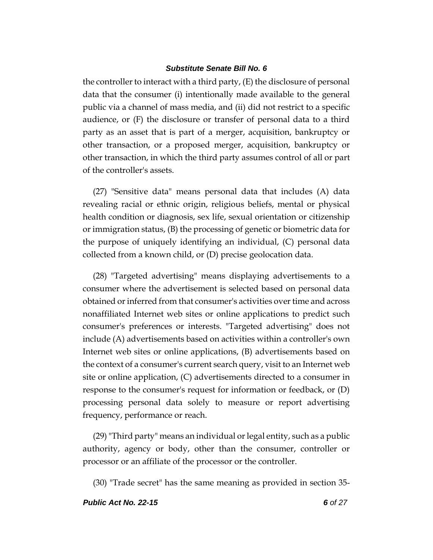the controller to interact with a third party, (E) the disclosure of personal data that the consumer (i) intentionally made available to the general public via a channel of mass media, and (ii) did not restrict to a specific audience, or (F) the disclosure or transfer of personal data to a third party as an asset that is part of a merger, acquisition, bankruptcy or other transaction, or a proposed merger, acquisition, bankruptcy or other transaction, in which the third party assumes control of all or part of the controller's assets.

(27) "Sensitive data" means personal data that includes (A) data revealing racial or ethnic origin, religious beliefs, mental or physical health condition or diagnosis, sex life, sexual orientation or citizenship or immigration status, (B) the processing of genetic or biometric data for the purpose of uniquely identifying an individual, (C) personal data collected from a known child, or (D) precise geolocation data.

(28) "Targeted advertising" means displaying advertisements to a consumer where the advertisement is selected based on personal data obtained or inferred from that consumer's activities over time and across nonaffiliated Internet web sites or online applications to predict such consumer's preferences or interests. "Targeted advertising" does not include (A) advertisements based on activities within a controller's own Internet web sites or online applications, (B) advertisements based on the context of a consumer's current search query, visit to an Internet web site or online application, (C) advertisements directed to a consumer in response to the consumer's request for information or feedback, or (D) processing personal data solely to measure or report advertising frequency, performance or reach.

(29) "Third party" means an individual or legal entity, such as a public authority, agency or body, other than the consumer, controller or processor or an affiliate of the processor or the controller.

(30) "Trade secret" has the same meaning as provided in section 35-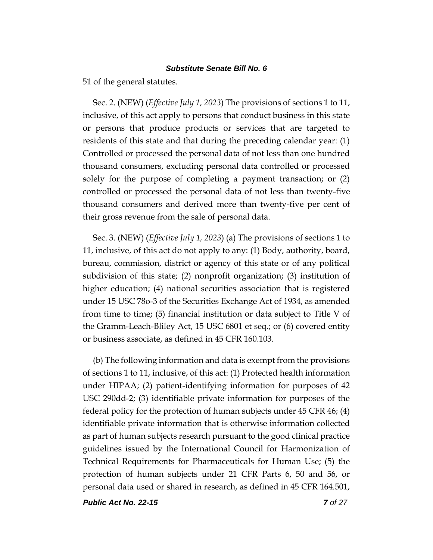51 of the general statutes.

Sec. 2. (NEW) (*Effective July 1, 2023*) The provisions of sections 1 to 11, inclusive, of this act apply to persons that conduct business in this state or persons that produce products or services that are targeted to residents of this state and that during the preceding calendar year: (1) Controlled or processed the personal data of not less than one hundred thousand consumers, excluding personal data controlled or processed solely for the purpose of completing a payment transaction; or (2) controlled or processed the personal data of not less than twenty-five thousand consumers and derived more than twenty-five per cent of their gross revenue from the sale of personal data.

Sec. 3. (NEW) (*Effective July 1, 2023*) (a) The provisions of sections 1 to 11, inclusive, of this act do not apply to any: (1) Body, authority, board, bureau, commission, district or agency of this state or of any political subdivision of this state; (2) nonprofit organization; (3) institution of higher education; (4) national securities association that is registered under 15 USC 78o-3 of the Securities Exchange Act of 1934, as amended from time to time; (5) financial institution or data subject to Title V of the Gramm-Leach-Bliley Act, 15 USC 6801 et seq.; or (6) covered entity or business associate, as defined in 45 CFR 160.103.

(b) The following information and data is exempt from the provisions of sections 1 to 11, inclusive, of this act: (1) Protected health information under HIPAA; (2) patient-identifying information for purposes of 42 USC 290dd-2; (3) identifiable private information for purposes of the federal policy for the protection of human subjects under 45 CFR 46; (4) identifiable private information that is otherwise information collected as part of human subjects research pursuant to the good clinical practice guidelines issued by the International Council for Harmonization of Technical Requirements for Pharmaceuticals for Human Use; (5) the protection of human subjects under 21 CFR Parts 6, 50 and 56, or personal data used or shared in research, as defined in 45 CFR 164.501,

*Public Act No. 22-15 7 of 27*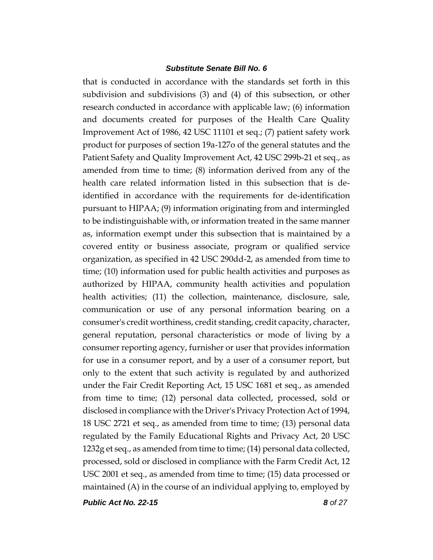that is conducted in accordance with the standards set forth in this subdivision and subdivisions (3) and (4) of this subsection, or other research conducted in accordance with applicable law; (6) information and documents created for purposes of the Health Care Quality Improvement Act of 1986, 42 USC 11101 et seq.; (7) patient safety work product for purposes of section 19a-127o of the general statutes and the Patient Safety and Quality Improvement Act, 42 USC 299b-21 et seq., as amended from time to time; (8) information derived from any of the health care related information listed in this subsection that is deidentified in accordance with the requirements for de-identification pursuant to HIPAA; (9) information originating from and intermingled to be indistinguishable with, or information treated in the same manner as, information exempt under this subsection that is maintained by a covered entity or business associate, program or qualified service organization, as specified in 42 USC 290dd-2, as amended from time to time; (10) information used for public health activities and purposes as authorized by HIPAA, community health activities and population health activities; (11) the collection, maintenance, disclosure, sale, communication or use of any personal information bearing on a consumer's credit worthiness, credit standing, credit capacity, character, general reputation, personal characteristics or mode of living by a consumer reporting agency, furnisher or user that provides information for use in a consumer report, and by a user of a consumer report, but only to the extent that such activity is regulated by and authorized under the Fair Credit Reporting Act, 15 USC 1681 et seq., as amended from time to time; (12) personal data collected, processed, sold or disclosed in compliance with the Driver's Privacy Protection Act of 1994, 18 USC 2721 et seq., as amended from time to time; (13) personal data regulated by the Family Educational Rights and Privacy Act, 20 USC 1232g et seq., as amended from time to time; (14) personal data collected, processed, sold or disclosed in compliance with the Farm Credit Act, 12 USC 2001 et seq., as amended from time to time; (15) data processed or maintained (A) in the course of an individual applying to, employed by

*Public Act No. 22-15 8 of 27*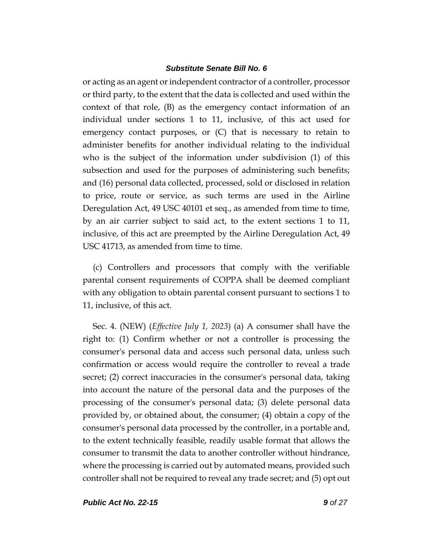or acting as an agent or independent contractor of a controller, processor or third party, to the extent that the data is collected and used within the context of that role, (B) as the emergency contact information of an individual under sections 1 to 11, inclusive, of this act used for emergency contact purposes, or (C) that is necessary to retain to administer benefits for another individual relating to the individual who is the subject of the information under subdivision (1) of this subsection and used for the purposes of administering such benefits; and (16) personal data collected, processed, sold or disclosed in relation to price, route or service, as such terms are used in the Airline Deregulation Act, 49 USC 40101 et seq., as amended from time to time, by an air carrier subject to said act, to the extent sections 1 to 11, inclusive, of this act are preempted by the Airline Deregulation Act, 49 USC 41713, as amended from time to time.

(c) Controllers and processors that comply with the verifiable parental consent requirements of COPPA shall be deemed compliant with any obligation to obtain parental consent pursuant to sections 1 to 11, inclusive, of this act.

Sec. 4. (NEW) (*Effective July 1, 2023*) (a) A consumer shall have the right to: (1) Confirm whether or not a controller is processing the consumer's personal data and access such personal data, unless such confirmation or access would require the controller to reveal a trade secret; (2) correct inaccuracies in the consumer's personal data, taking into account the nature of the personal data and the purposes of the processing of the consumer's personal data; (3) delete personal data provided by, or obtained about, the consumer; (4) obtain a copy of the consumer's personal data processed by the controller, in a portable and, to the extent technically feasible, readily usable format that allows the consumer to transmit the data to another controller without hindrance, where the processing is carried out by automated means, provided such controller shall not be required to reveal any trade secret; and (5) opt out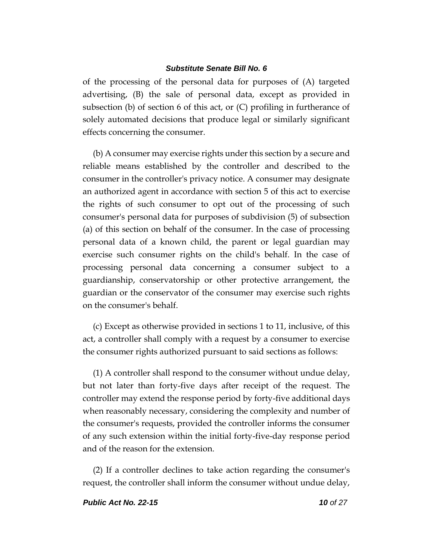of the processing of the personal data for purposes of (A) targeted advertising, (B) the sale of personal data, except as provided in subsection (b) of section 6 of this act, or (C) profiling in furtherance of solely automated decisions that produce legal or similarly significant effects concerning the consumer.

(b) A consumer may exercise rights under this section by a secure and reliable means established by the controller and described to the consumer in the controller's privacy notice. A consumer may designate an authorized agent in accordance with section 5 of this act to exercise the rights of such consumer to opt out of the processing of such consumer's personal data for purposes of subdivision (5) of subsection (a) of this section on behalf of the consumer. In the case of processing personal data of a known child, the parent or legal guardian may exercise such consumer rights on the child's behalf. In the case of processing personal data concerning a consumer subject to a guardianship, conservatorship or other protective arrangement, the guardian or the conservator of the consumer may exercise such rights on the consumer's behalf.

(c) Except as otherwise provided in sections 1 to 11, inclusive, of this act, a controller shall comply with a request by a consumer to exercise the consumer rights authorized pursuant to said sections as follows:

(1) A controller shall respond to the consumer without undue delay, but not later than forty-five days after receipt of the request. The controller may extend the response period by forty-five additional days when reasonably necessary, considering the complexity and number of the consumer's requests, provided the controller informs the consumer of any such extension within the initial forty-five-day response period and of the reason for the extension.

(2) If a controller declines to take action regarding the consumer's request, the controller shall inform the consumer without undue delay,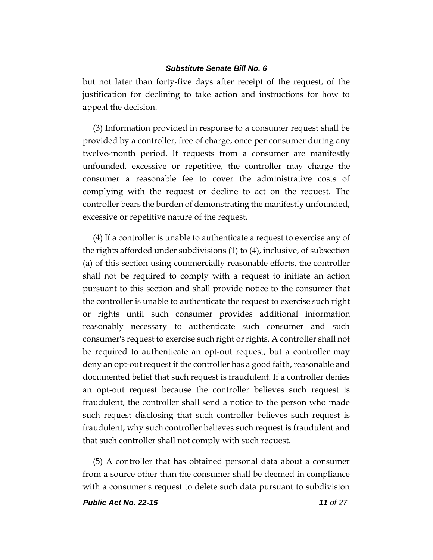but not later than forty-five days after receipt of the request, of the justification for declining to take action and instructions for how to appeal the decision.

(3) Information provided in response to a consumer request shall be provided by a controller, free of charge, once per consumer during any twelve-month period. If requests from a consumer are manifestly unfounded, excessive or repetitive, the controller may charge the consumer a reasonable fee to cover the administrative costs of complying with the request or decline to act on the request. The controller bears the burden of demonstrating the manifestly unfounded, excessive or repetitive nature of the request.

(4) If a controller is unable to authenticate a request to exercise any of the rights afforded under subdivisions (1) to (4), inclusive, of subsection (a) of this section using commercially reasonable efforts, the controller shall not be required to comply with a request to initiate an action pursuant to this section and shall provide notice to the consumer that the controller is unable to authenticate the request to exercise such right or rights until such consumer provides additional information reasonably necessary to authenticate such consumer and such consumer's request to exercise such right or rights. A controller shall not be required to authenticate an opt-out request, but a controller may deny an opt-out request if the controller has a good faith, reasonable and documented belief that such request is fraudulent. If a controller denies an opt-out request because the controller believes such request is fraudulent, the controller shall send a notice to the person who made such request disclosing that such controller believes such request is fraudulent, why such controller believes such request is fraudulent and that such controller shall not comply with such request.

(5) A controller that has obtained personal data about a consumer from a source other than the consumer shall be deemed in compliance with a consumer's request to delete such data pursuant to subdivision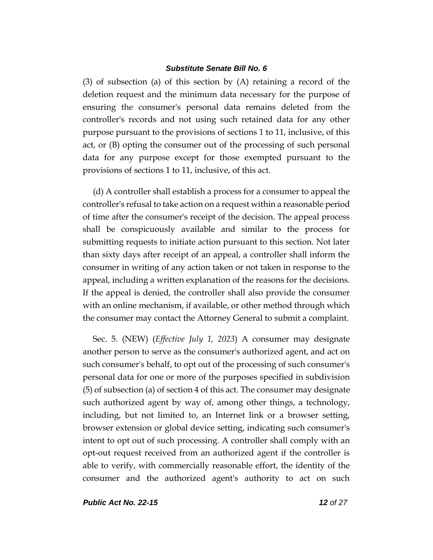(3) of subsection (a) of this section by (A) retaining a record of the deletion request and the minimum data necessary for the purpose of ensuring the consumer's personal data remains deleted from the controller's records and not using such retained data for any other purpose pursuant to the provisions of sections 1 to 11, inclusive, of this act, or (B) opting the consumer out of the processing of such personal data for any purpose except for those exempted pursuant to the provisions of sections 1 to 11, inclusive, of this act.

(d) A controller shall establish a process for a consumer to appeal the controller's refusal to take action on a request within a reasonable period of time after the consumer's receipt of the decision. The appeal process shall be conspicuously available and similar to the process for submitting requests to initiate action pursuant to this section. Not later than sixty days after receipt of an appeal, a controller shall inform the consumer in writing of any action taken or not taken in response to the appeal, including a written explanation of the reasons for the decisions. If the appeal is denied, the controller shall also provide the consumer with an online mechanism, if available, or other method through which the consumer may contact the Attorney General to submit a complaint.

Sec. 5. (NEW) (*Effective July 1, 2023*) A consumer may designate another person to serve as the consumer's authorized agent, and act on such consumer's behalf, to opt out of the processing of such consumer's personal data for one or more of the purposes specified in subdivision (5) of subsection (a) of section 4 of this act. The consumer may designate such authorized agent by way of, among other things, a technology, including, but not limited to, an Internet link or a browser setting, browser extension or global device setting, indicating such consumer's intent to opt out of such processing. A controller shall comply with an opt-out request received from an authorized agent if the controller is able to verify, with commercially reasonable effort, the identity of the consumer and the authorized agent's authority to act on such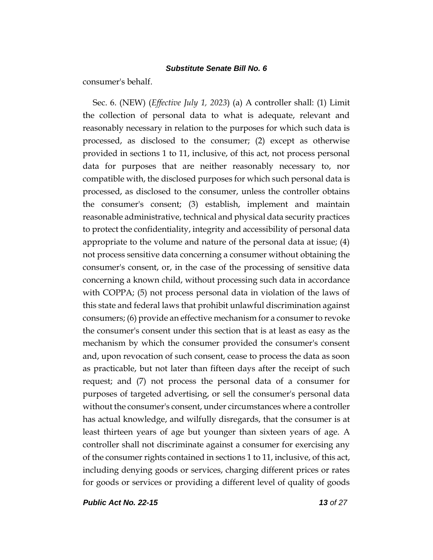consumer's behalf.

Sec. 6. (NEW) (*Effective July 1, 2023*) (a) A controller shall: (1) Limit the collection of personal data to what is adequate, relevant and reasonably necessary in relation to the purposes for which such data is processed, as disclosed to the consumer; (2) except as otherwise provided in sections 1 to 11, inclusive, of this act, not process personal data for purposes that are neither reasonably necessary to, nor compatible with, the disclosed purposes for which such personal data is processed, as disclosed to the consumer, unless the controller obtains the consumer's consent; (3) establish, implement and maintain reasonable administrative, technical and physical data security practices to protect the confidentiality, integrity and accessibility of personal data appropriate to the volume and nature of the personal data at issue; (4) not process sensitive data concerning a consumer without obtaining the consumer's consent, or, in the case of the processing of sensitive data concerning a known child, without processing such data in accordance with COPPA; (5) not process personal data in violation of the laws of this state and federal laws that prohibit unlawful discrimination against consumers; (6) provide an effective mechanism for a consumer to revoke the consumer's consent under this section that is at least as easy as the mechanism by which the consumer provided the consumer's consent and, upon revocation of such consent, cease to process the data as soon as practicable, but not later than fifteen days after the receipt of such request; and (7) not process the personal data of a consumer for purposes of targeted advertising, or sell the consumer's personal data without the consumer's consent, under circumstances where a controller has actual knowledge, and wilfully disregards, that the consumer is at least thirteen years of age but younger than sixteen years of age. A controller shall not discriminate against a consumer for exercising any of the consumer rights contained in sections 1 to 11, inclusive, of this act, including denying goods or services, charging different prices or rates for goods or services or providing a different level of quality of goods

*Public Act No. 22-15 13 of 27*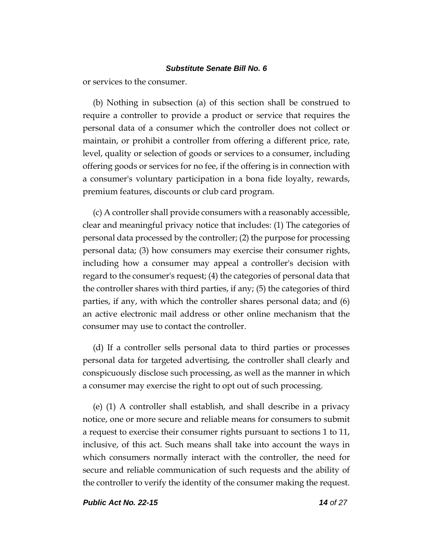or services to the consumer.

(b) Nothing in subsection (a) of this section shall be construed to require a controller to provide a product or service that requires the personal data of a consumer which the controller does not collect or maintain, or prohibit a controller from offering a different price, rate, level, quality or selection of goods or services to a consumer, including offering goods or services for no fee, if the offering is in connection with a consumer's voluntary participation in a bona fide loyalty, rewards, premium features, discounts or club card program.

(c) A controller shall provide consumers with a reasonably accessible, clear and meaningful privacy notice that includes: (1) The categories of personal data processed by the controller; (2) the purpose for processing personal data; (3) how consumers may exercise their consumer rights, including how a consumer may appeal a controller's decision with regard to the consumer's request; (4) the categories of personal data that the controller shares with third parties, if any; (5) the categories of third parties, if any, with which the controller shares personal data; and (6) an active electronic mail address or other online mechanism that the consumer may use to contact the controller.

(d) If a controller sells personal data to third parties or processes personal data for targeted advertising, the controller shall clearly and conspicuously disclose such processing, as well as the manner in which a consumer may exercise the right to opt out of such processing.

(e) (1) A controller shall establish, and shall describe in a privacy notice, one or more secure and reliable means for consumers to submit a request to exercise their consumer rights pursuant to sections 1 to 11, inclusive, of this act. Such means shall take into account the ways in which consumers normally interact with the controller, the need for secure and reliable communication of such requests and the ability of the controller to verify the identity of the consumer making the request.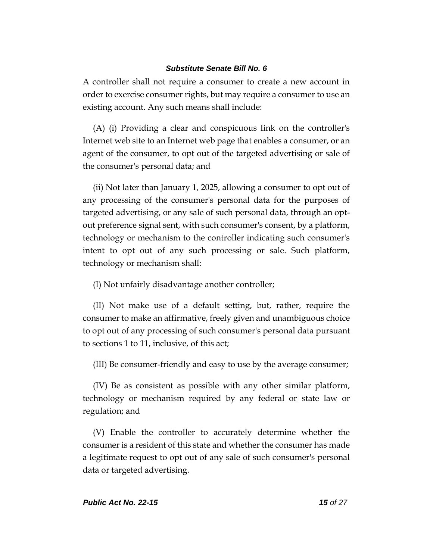A controller shall not require a consumer to create a new account in order to exercise consumer rights, but may require a consumer to use an existing account. Any such means shall include:

(A) (i) Providing a clear and conspicuous link on the controller's Internet web site to an Internet web page that enables a consumer, or an agent of the consumer, to opt out of the targeted advertising or sale of the consumer's personal data; and

(ii) Not later than January 1, 2025, allowing a consumer to opt out of any processing of the consumer's personal data for the purposes of targeted advertising, or any sale of such personal data, through an optout preference signal sent, with such consumer's consent, by a platform, technology or mechanism to the controller indicating such consumer's intent to opt out of any such processing or sale. Such platform, technology or mechanism shall:

(I) Not unfairly disadvantage another controller;

(II) Not make use of a default setting, but, rather, require the consumer to make an affirmative, freely given and unambiguous choice to opt out of any processing of such consumer's personal data pursuant to sections 1 to 11, inclusive, of this act;

(III) Be consumer-friendly and easy to use by the average consumer;

(IV) Be as consistent as possible with any other similar platform, technology or mechanism required by any federal or state law or regulation; and

(V) Enable the controller to accurately determine whether the consumer is a resident of this state and whether the consumer has made a legitimate request to opt out of any sale of such consumer's personal data or targeted advertising.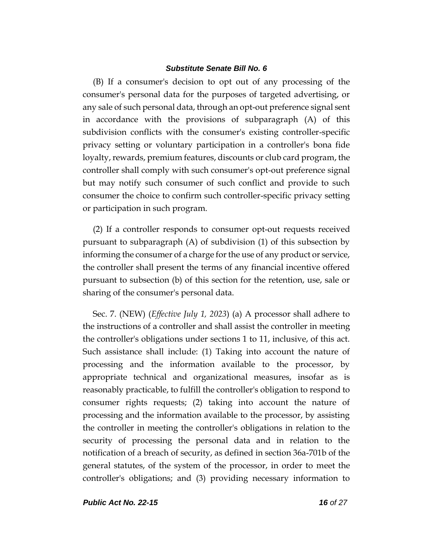(B) If a consumer's decision to opt out of any processing of the consumer's personal data for the purposes of targeted advertising, or any sale of such personal data, through an opt-out preference signal sent in accordance with the provisions of subparagraph (A) of this subdivision conflicts with the consumer's existing controller-specific privacy setting or voluntary participation in a controller's bona fide loyalty, rewards, premium features, discounts or club card program, the controller shall comply with such consumer's opt-out preference signal but may notify such consumer of such conflict and provide to such consumer the choice to confirm such controller-specific privacy setting or participation in such program.

(2) If a controller responds to consumer opt‐out requests received pursuant to subparagraph (A) of subdivision (1) of this subsection by informing the consumer of a charge for the use of any product or service, the controller shall present the terms of any financial incentive offered pursuant to subsection (b) of this section for the retention, use, sale or sharing of the consumer's personal data.

Sec. 7. (NEW) (*Effective July 1, 2023*) (a) A processor shall adhere to the instructions of a controller and shall assist the controller in meeting the controller's obligations under sections 1 to 11, inclusive, of this act. Such assistance shall include: (1) Taking into account the nature of processing and the information available to the processor, by appropriate technical and organizational measures, insofar as is reasonably practicable, to fulfill the controller's obligation to respond to consumer rights requests; (2) taking into account the nature of processing and the information available to the processor, by assisting the controller in meeting the controller's obligations in relation to the security of processing the personal data and in relation to the notification of a breach of security, as defined in section 36a-701b of the general statutes, of the system of the processor, in order to meet the controller's obligations; and (3) providing necessary information to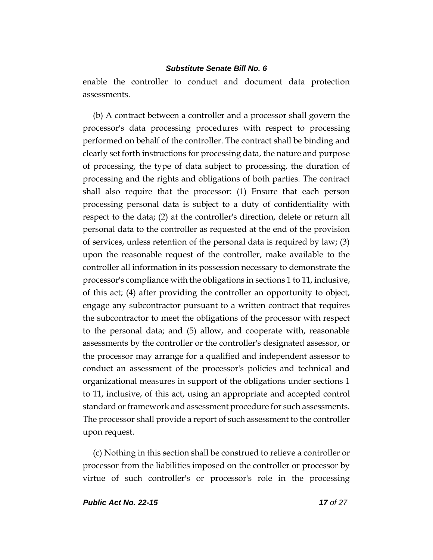enable the controller to conduct and document data protection assessments.

(b) A contract between a controller and a processor shall govern the processor's data processing procedures with respect to processing performed on behalf of the controller. The contract shall be binding and clearly set forth instructions for processing data, the nature and purpose of processing, the type of data subject to processing, the duration of processing and the rights and obligations of both parties. The contract shall also require that the processor: (1) Ensure that each person processing personal data is subject to a duty of confidentiality with respect to the data; (2) at the controller's direction, delete or return all personal data to the controller as requested at the end of the provision of services, unless retention of the personal data is required by law; (3) upon the reasonable request of the controller, make available to the controller all information in its possession necessary to demonstrate the processor's compliance with the obligations in sections 1 to 11, inclusive, of this act; (4) after providing the controller an opportunity to object, engage any subcontractor pursuant to a written contract that requires the subcontractor to meet the obligations of the processor with respect to the personal data; and (5) allow, and cooperate with, reasonable assessments by the controller or the controller's designated assessor, or the processor may arrange for a qualified and independent assessor to conduct an assessment of the processor's policies and technical and organizational measures in support of the obligations under sections 1 to 11, inclusive, of this act, using an appropriate and accepted control standard or framework and assessment procedure for such assessments. The processor shall provide a report of such assessment to the controller upon request.

(c) Nothing in this section shall be construed to relieve a controller or processor from the liabilities imposed on the controller or processor by virtue of such controller's or processor's role in the processing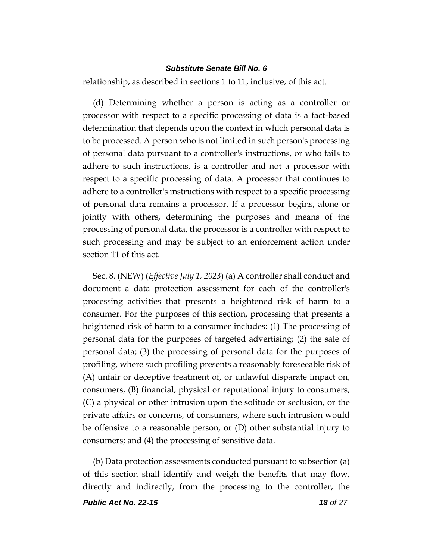relationship, as described in sections 1 to 11, inclusive, of this act.

(d) Determining whether a person is acting as a controller or processor with respect to a specific processing of data is a fact-based determination that depends upon the context in which personal data is to be processed. A person who is not limited in such person's processing of personal data pursuant to a controller's instructions, or who fails to adhere to such instructions, is a controller and not a processor with respect to a specific processing of data. A processor that continues to adhere to a controller's instructions with respect to a specific processing of personal data remains a processor. If a processor begins, alone or jointly with others, determining the purposes and means of the processing of personal data, the processor is a controller with respect to such processing and may be subject to an enforcement action under section 11 of this act.

Sec. 8. (NEW) (*Effective July 1, 2023*) (a) A controller shall conduct and document a data protection assessment for each of the controller's processing activities that presents a heightened risk of harm to a consumer. For the purposes of this section, processing that presents a heightened risk of harm to a consumer includes: (1) The processing of personal data for the purposes of targeted advertising; (2) the sale of personal data; (3) the processing of personal data for the purposes of profiling, where such profiling presents a reasonably foreseeable risk of (A) unfair or deceptive treatment of, or unlawful disparate impact on, consumers, (B) financial, physical or reputational injury to consumers, (C) a physical or other intrusion upon the solitude or seclusion, or the private affairs or concerns, of consumers, where such intrusion would be offensive to a reasonable person, or (D) other substantial injury to consumers; and (4) the processing of sensitive data.

(b) Data protection assessments conducted pursuant to subsection (a) of this section shall identify and weigh the benefits that may flow, directly and indirectly, from the processing to the controller, the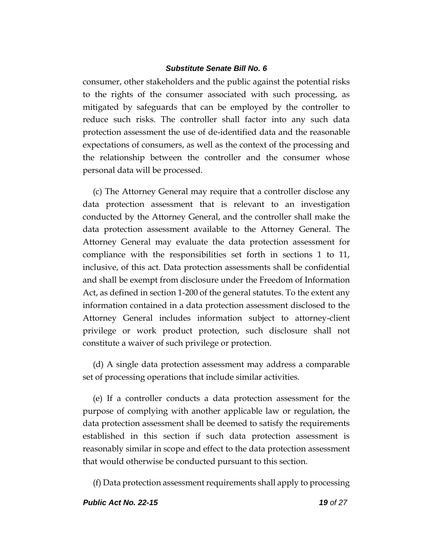consumer, other stakeholders and the public against the potential risks to the rights of the consumer associated with such processing, as mitigated by safeguards that can be employed by the controller to reduce such risks. The controller shall factor into any such data protection assessment the use of de-identified data and the reasonable expectations of consumers, as well as the context of the processing and the relationship between the controller and the consumer whose personal data will be processed.

(c) The Attorney General may require that a controller disclose any data protection assessment that is relevant to an investigation conducted by the Attorney General, and the controller shall make the data protection assessment available to the Attorney General. The Attorney General may evaluate the data protection assessment for compliance with the responsibilities set forth in sections 1 to 11, inclusive, of this act. Data protection assessments shall be confidential and shall be exempt from disclosure under the Freedom of Information Act, as defined in section 1-200 of the general statutes. To the extent any information contained in a data protection assessment disclosed to the Attorney General includes information subject to attorney-client privilege or work product protection, such disclosure shall not constitute a waiver of such privilege or protection.

(d) A single data protection assessment may address a comparable set of processing operations that include similar activities.

(e) If a controller conducts a data protection assessment for the purpose of complying with another applicable law or regulation, the data protection assessment shall be deemed to satisfy the requirements established in this section if such data protection assessment is reasonably similar in scope and effect to the data protection assessment that would otherwise be conducted pursuant to this section.

(f) Data protection assessment requirements shall apply to processing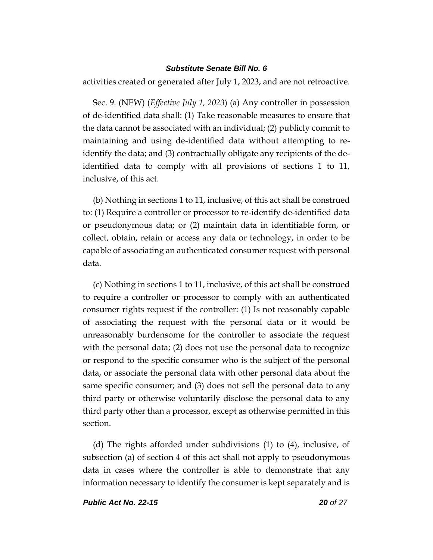activities created or generated after July 1, 2023, and are not retroactive.

Sec. 9. (NEW) (*Effective July 1, 2023*) (a) Any controller in possession of de-identified data shall: (1) Take reasonable measures to ensure that the data cannot be associated with an individual; (2) publicly commit to maintaining and using de-identified data without attempting to reidentify the data; and (3) contractually obligate any recipients of the deidentified data to comply with all provisions of sections 1 to 11, inclusive, of this act.

(b) Nothing in sections 1 to 11, inclusive, of this act shall be construed to: (1) Require a controller or processor to re-identify de-identified data or pseudonymous data; or (2) maintain data in identifiable form, or collect, obtain, retain or access any data or technology, in order to be capable of associating an authenticated consumer request with personal data.

(c) Nothing in sections 1 to 11, inclusive, of this act shall be construed to require a controller or processor to comply with an authenticated consumer rights request if the controller: (1) Is not reasonably capable of associating the request with the personal data or it would be unreasonably burdensome for the controller to associate the request with the personal data; (2) does not use the personal data to recognize or respond to the specific consumer who is the subject of the personal data, or associate the personal data with other personal data about the same specific consumer; and (3) does not sell the personal data to any third party or otherwise voluntarily disclose the personal data to any third party other than a processor, except as otherwise permitted in this section.

(d) The rights afforded under subdivisions (1) to (4), inclusive, of subsection (a) of section 4 of this act shall not apply to pseudonymous data in cases where the controller is able to demonstrate that any information necessary to identify the consumer is kept separately and is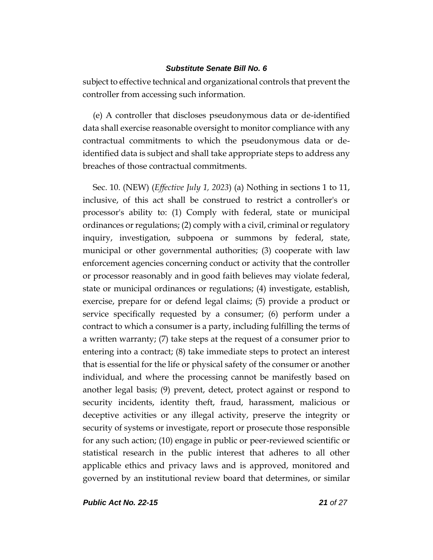subject to effective technical and organizational controls that prevent the controller from accessing such information.

(e) A controller that discloses pseudonymous data or de-identified data shall exercise reasonable oversight to monitor compliance with any contractual commitments to which the pseudonymous data or deidentified data is subject and shall take appropriate steps to address any breaches of those contractual commitments.

Sec. 10. (NEW) (*Effective July 1, 2023*) (a) Nothing in sections 1 to 11, inclusive, of this act shall be construed to restrict a controller's or processor's ability to: (1) Comply with federal, state or municipal ordinances or regulations; (2) comply with a civil, criminal or regulatory inquiry, investigation, subpoena or summons by federal, state, municipal or other governmental authorities; (3) cooperate with law enforcement agencies concerning conduct or activity that the controller or processor reasonably and in good faith believes may violate federal, state or municipal ordinances or regulations; (4) investigate, establish, exercise, prepare for or defend legal claims; (5) provide a product or service specifically requested by a consumer; (6) perform under a contract to which a consumer is a party, including fulfilling the terms of a written warranty; (7) take steps at the request of a consumer prior to entering into a contract; (8) take immediate steps to protect an interest that is essential for the life or physical safety of the consumer or another individual, and where the processing cannot be manifestly based on another legal basis; (9) prevent, detect, protect against or respond to security incidents, identity theft, fraud, harassment, malicious or deceptive activities or any illegal activity, preserve the integrity or security of systems or investigate, report or prosecute those responsible for any such action; (10) engage in public or peer-reviewed scientific or statistical research in the public interest that adheres to all other applicable ethics and privacy laws and is approved, monitored and governed by an institutional review board that determines, or similar

*Public Act No. 22-15 21 of 27*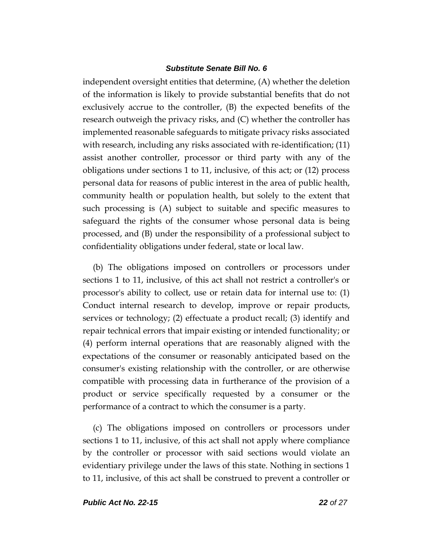independent oversight entities that determine, (A) whether the deletion of the information is likely to provide substantial benefits that do not exclusively accrue to the controller, (B) the expected benefits of the research outweigh the privacy risks, and (C) whether the controller has implemented reasonable safeguards to mitigate privacy risks associated with research, including any risks associated with re-identification; (11) assist another controller, processor or third party with any of the obligations under sections 1 to 11, inclusive, of this act; or (12) process personal data for reasons of public interest in the area of public health, community health or population health, but solely to the extent that such processing is (A) subject to suitable and specific measures to safeguard the rights of the consumer whose personal data is being processed, and (B) under the responsibility of a professional subject to confidentiality obligations under federal, state or local law.

(b) The obligations imposed on controllers or processors under sections 1 to 11, inclusive, of this act shall not restrict a controller's or processor's ability to collect, use or retain data for internal use to: (1) Conduct internal research to develop, improve or repair products, services or technology; (2) effectuate a product recall; (3) identify and repair technical errors that impair existing or intended functionality; or (4) perform internal operations that are reasonably aligned with the expectations of the consumer or reasonably anticipated based on the consumer's existing relationship with the controller, or are otherwise compatible with processing data in furtherance of the provision of a product or service specifically requested by a consumer or the performance of a contract to which the consumer is a party.

(c) The obligations imposed on controllers or processors under sections 1 to 11, inclusive, of this act shall not apply where compliance by the controller or processor with said sections would violate an evidentiary privilege under the laws of this state. Nothing in sections 1 to 11, inclusive, of this act shall be construed to prevent a controller or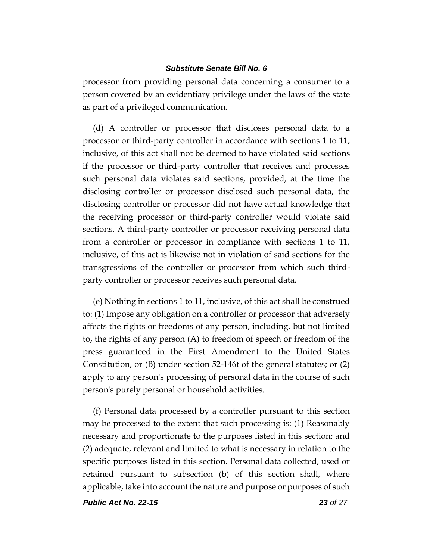processor from providing personal data concerning a consumer to a person covered by an evidentiary privilege under the laws of the state as part of a privileged communication.

(d) A controller or processor that discloses personal data to a processor or third-party controller in accordance with sections 1 to 11, inclusive, of this act shall not be deemed to have violated said sections if the processor or third-party controller that receives and processes such personal data violates said sections, provided, at the time the disclosing controller or processor disclosed such personal data, the disclosing controller or processor did not have actual knowledge that the receiving processor or third-party controller would violate said sections. A third-party controller or processor receiving personal data from a controller or processor in compliance with sections 1 to 11, inclusive, of this act is likewise not in violation of said sections for the transgressions of the controller or processor from which such thirdparty controller or processor receives such personal data.

(e) Nothing in sections 1 to 11, inclusive, of this act shall be construed to: (1) Impose any obligation on a controller or processor that adversely affects the rights or freedoms of any person, including, but not limited to, the rights of any person (A) to freedom of speech or freedom of the press guaranteed in the First Amendment to the United States Constitution, or (B) under section 52-146t of the general statutes; or (2) apply to any person's processing of personal data in the course of such person's purely personal or household activities.

(f) Personal data processed by a controller pursuant to this section may be processed to the extent that such processing is: (1) Reasonably necessary and proportionate to the purposes listed in this section; and (2) adequate, relevant and limited to what is necessary in relation to the specific purposes listed in this section. Personal data collected, used or retained pursuant to subsection (b) of this section shall, where applicable, take into account the nature and purpose or purposes of such

*Public Act No. 22-15 23 of 27*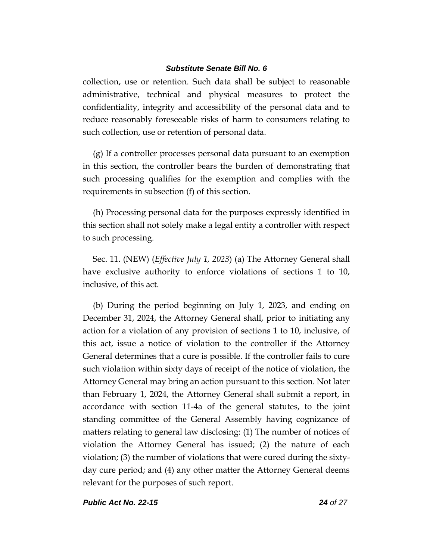collection, use or retention. Such data shall be subject to reasonable administrative, technical and physical measures to protect the confidentiality, integrity and accessibility of the personal data and to reduce reasonably foreseeable risks of harm to consumers relating to such collection, use or retention of personal data.

(g) If a controller processes personal data pursuant to an exemption in this section, the controller bears the burden of demonstrating that such processing qualifies for the exemption and complies with the requirements in subsection (f) of this section.

(h) Processing personal data for the purposes expressly identified in this section shall not solely make a legal entity a controller with respect to such processing.

Sec. 11. (NEW) (*Effective July 1, 2023*) (a) The Attorney General shall have exclusive authority to enforce violations of sections 1 to 10, inclusive, of this act.

(b) During the period beginning on July 1, 2023, and ending on December 31, 2024, the Attorney General shall, prior to initiating any action for a violation of any provision of sections 1 to 10, inclusive, of this act, issue a notice of violation to the controller if the Attorney General determines that a cure is possible. If the controller fails to cure such violation within sixty days of receipt of the notice of violation, the Attorney General may bring an action pursuant to this section. Not later than February 1, 2024, the Attorney General shall submit a report, in accordance with section 11-4a of the general statutes, to the joint standing committee of the General Assembly having cognizance of matters relating to general law disclosing: (1) The number of notices of violation the Attorney General has issued; (2) the nature of each violation; (3) the number of violations that were cured during the sixtyday cure period; and (4) any other matter the Attorney General deems relevant for the purposes of such report.

*Public Act No. 22-15 24 of 27*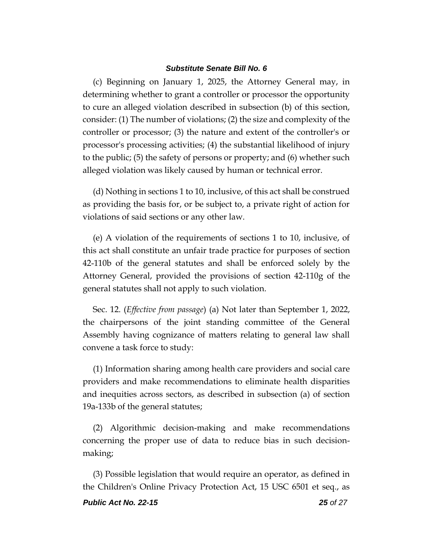(c) Beginning on January 1, 2025, the Attorney General may, in determining whether to grant a controller or processor the opportunity to cure an alleged violation described in subsection (b) of this section, consider: (1) The number of violations; (2) the size and complexity of the controller or processor; (3) the nature and extent of the controller's or processor's processing activities; (4) the substantial likelihood of injury to the public; (5) the safety of persons or property; and (6) whether such alleged violation was likely caused by human or technical error.

(d) Nothing in sections 1 to 10, inclusive, of this act shall be construed as providing the basis for, or be subject to, a private right of action for violations of said sections or any other law.

(e) A violation of the requirements of sections 1 to 10, inclusive, of this act shall constitute an unfair trade practice for purposes of section 42-110b of the general statutes and shall be enforced solely by the Attorney General, provided the provisions of section 42-110g of the general statutes shall not apply to such violation.

Sec. 12. (*Effective from passage*) (a) Not later than September 1, 2022, the chairpersons of the joint standing committee of the General Assembly having cognizance of matters relating to general law shall convene a task force to study:

(1) Information sharing among health care providers and social care providers and make recommendations to eliminate health disparities and inequities across sectors, as described in subsection (a) of section 19a-133b of the general statutes;

(2) Algorithmic decision-making and make recommendations concerning the proper use of data to reduce bias in such decisionmaking;

(3) Possible legislation that would require an operator, as defined in the Children's Online Privacy Protection Act, 15 USC 6501 et seq., as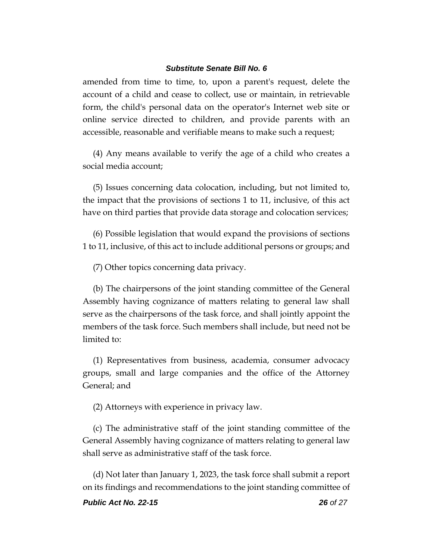amended from time to time, to, upon a parent's request, delete the account of a child and cease to collect, use or maintain, in retrievable form, the child's personal data on the operator's Internet web site or online service directed to children, and provide parents with an accessible, reasonable and verifiable means to make such a request;

(4) Any means available to verify the age of a child who creates a social media account;

(5) Issues concerning data colocation, including, but not limited to, the impact that the provisions of sections 1 to 11, inclusive, of this act have on third parties that provide data storage and colocation services;

(6) Possible legislation that would expand the provisions of sections 1 to 11, inclusive, of this act to include additional persons or groups; and

(7) Other topics concerning data privacy.

(b) The chairpersons of the joint standing committee of the General Assembly having cognizance of matters relating to general law shall serve as the chairpersons of the task force, and shall jointly appoint the members of the task force. Such members shall include, but need not be limited to:

(1) Representatives from business, academia, consumer advocacy groups, small and large companies and the office of the Attorney General; and

(2) Attorneys with experience in privacy law.

(c) The administrative staff of the joint standing committee of the General Assembly having cognizance of matters relating to general law shall serve as administrative staff of the task force.

(d) Not later than January 1, 2023, the task force shall submit a report on its findings and recommendations to the joint standing committee of